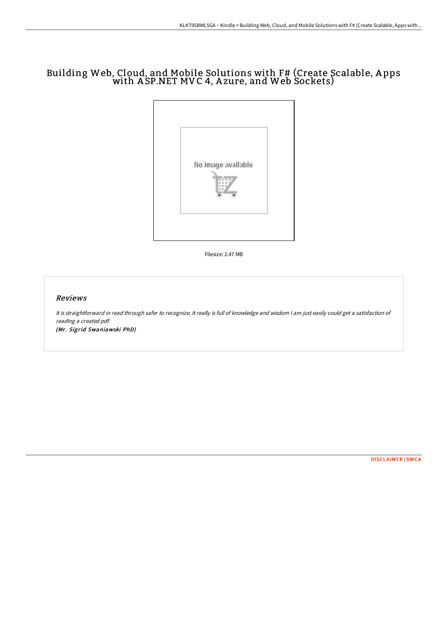# Building Web, Cloud, and Mobile Solutions with F# (Create Scalable, A pps with A SP.NET MVC 4, A zure, and Web Sockets)



Filesize: 2.47 MB

## Reviews

It is straightforward in read through safer to recognize. It really is full of knowledge and wisdom <sup>I</sup> am just easily could get <sup>a</sup> satisfaction of reading <sup>a</sup> created pdf.

(Mr. Sigrid Swaniawski PhD)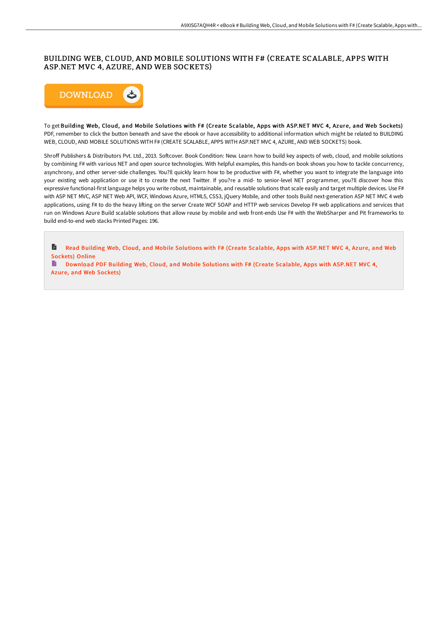# BUILDING WEB, CLOUD, AND MOBILE SOLUTIONS WITH F# (CREATE SCALABLE, APPS WITH ASP.NET MVC 4, AZURE, AND WEB SOCKETS)



To get Building Web, Cloud, and Mobile Solutions with F# (Create Scalable, Apps with ASP.NET MVC 4, Azure, and Web Sockets) PDF, remember to click the button beneath and save the ebook or have accessibility to additional information which might be related to BUILDING WEB, CLOUD, AND MOBILE SOLUTIONS WITH F# (CREATE SCALABLE, APPS WITH ASP.NET MVC 4, AZURE, AND WEB SOCKETS) book.

Shroff Publishers & Distributors Pvt. Ltd., 2013. Softcover. Book Condition: New. Learn how to build key aspects of web, cloud, and mobile solutions by combining F# with various NET and open source technologies. With helpful examples, this hands-on book shows you how to tackle concurrency, asynchrony, and other server-side challenges. You?ll quickly learn how to be productive with F#, whether you want to integrate the language into your existing web application or use it to create the next Twitter. If you?re a mid- to senior-level NET programmer, you?ll discover how this expressive functional-first language helps you write robust, maintainable, and reusable solutions that scale easily and target multiple devices. Use F# with ASP NET MVC, ASP NET Web API, WCF, Windows Azure, HTML5, CSS3, jOuery Mobile, and other tools Build next-generation ASP NET MVC 4 web applications, using F# to do the heavy lifting on the server Create WCF SOAP and HTTP web services Develop F# web applications and services that run on Windows Azure Build scalable solutions that allow reuse by mobile and web front-ends Use F# with the WebSharper and Pit frameworks to build end-to-end web stacks Printed Pages: 196.

A Read Building Web, Cloud, and Mobile [Solutions](http://digilib.live/building-web-cloud-and-mobile-solutions-with-f-c.html) with F# (Create Scalable, Apps with ASP.NET MVC 4, Azure, and Web Sockets) Online

[Download](http://digilib.live/building-web-cloud-and-mobile-solutions-with-f-c.html) PDF Building Web, Cloud, and Mobile Solutions with F# (Create Scalable, Apps with ASP.NET MVC 4, Azure, and Web Sockets)